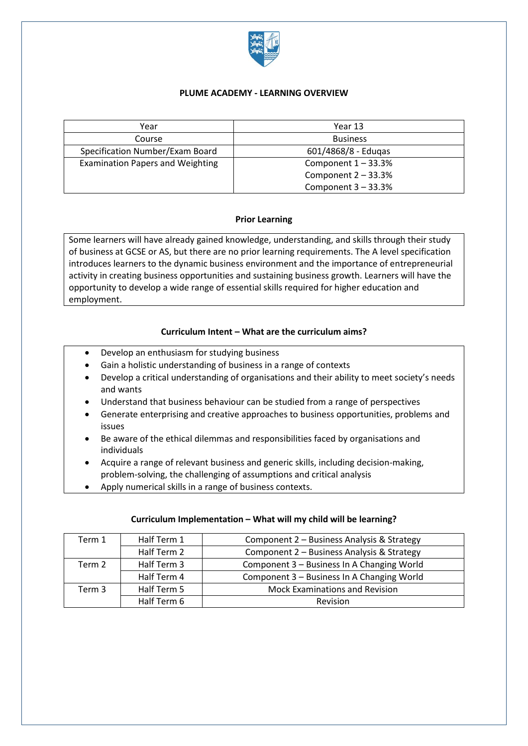

## **PLUME ACADEMY - LEARNING OVERVIEW**

| Year                                    | Year 13               |
|-----------------------------------------|-----------------------|
| Course                                  | <b>Business</b>       |
| Specification Number/Exam Board         | 601/4868/8 - Edugas   |
| <b>Examination Papers and Weighting</b> | Component $1 - 33.3%$ |
|                                         | Component $2 - 33.3%$ |
|                                         | Component $3 - 33.3%$ |

# **Prior Learning**

Some learners will have already gained knowledge, understanding, and skills through their study of business at GCSE or AS, but there are no prior learning requirements. The A level specification introduces learners to the dynamic business environment and the importance of entrepreneurial activity in creating business opportunities and sustaining business growth. Learners will have the opportunity to develop a wide range of essential skills required for higher education and employment.

# **Curriculum Intent – What are the curriculum aims?**

- Develop an enthusiasm for studying business
- Gain a holistic understanding of business in a range of contexts
- Develop a critical understanding of organisations and their ability to meet society's needs and wants
- Understand that business behaviour can be studied from a range of perspectives
- Generate enterprising and creative approaches to business opportunities, problems and issues
- Be aware of the ethical dilemmas and responsibilities faced by organisations and individuals
- Acquire a range of relevant business and generic skills, including decision-making, problem-solving, the challenging of assumptions and critical analysis
- Apply numerical skills in a range of business contexts.

### **Curriculum Implementation – What will my child will be learning?**

| Term 1 | Half Term 1 | Component 2 - Business Analysis & Strategy |
|--------|-------------|--------------------------------------------|
|        | Half Term 2 | Component 2 - Business Analysis & Strategy |
| Term 2 | Half Term 3 | Component 3 - Business In A Changing World |
|        | Half Term 4 | Component 3 - Business In A Changing World |
| Term 3 | Half Term 5 | <b>Mock Examinations and Revision</b>      |
|        | Half Term 6 | Revision                                   |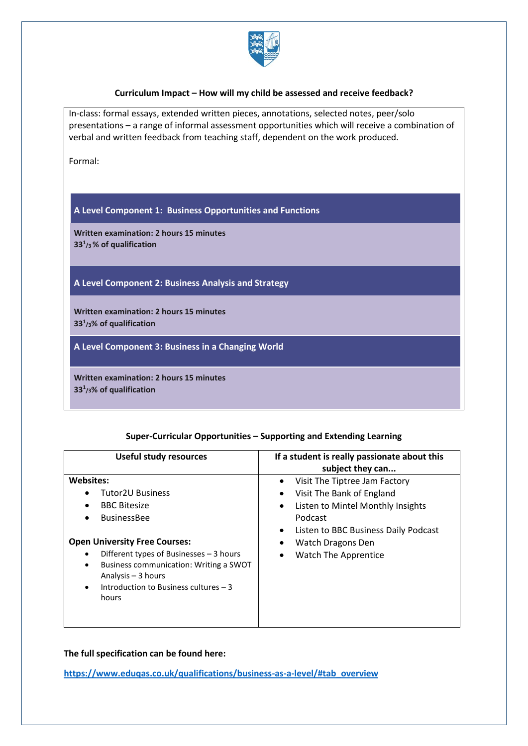

### **Curriculum Impact – How will my child be assessed and receive feedback?**

In-class: formal essays, extended written pieces, annotations, selected notes, peer/solo presentations – a range of informal assessment opportunities which will receive a combination of verbal and written feedback from teaching staff, dependent on the work produced. Formal: **A Level Component 1: Business Opportunities and Functions Written examination: 2 hours 15 minutes 33<sup>1</sup> /3% of qualification A Level Component 2: Business Analysis and Strategy Written examination: 2 hours 15 minutes 33<sup>1</sup> /3% of qualification A Level Component 3: Business in a Changing World Written examination: 2 hours 15 minutes 33<sup>1</sup> /3% of qualification**

#### **Super-Curricular Opportunities – Supporting and Extending Learning**

| <b>Useful study resources</b>                                                                                                                                                                                        | If a student is really passionate about this<br>subject they can                                                                                                          |
|----------------------------------------------------------------------------------------------------------------------------------------------------------------------------------------------------------------------|---------------------------------------------------------------------------------------------------------------------------------------------------------------------------|
| <b>Websites:</b><br><b>Tutor2U Business</b><br><b>BBC Bitesize</b><br><b>BusinessBee</b>                                                                                                                             | Visit The Tiptree Jam Factory<br>Visit The Bank of England<br>٠<br>Listen to Mintel Monthly Insights<br>٠<br>Podcast<br>Listen to BBC Business Daily Podcast<br>$\bullet$ |
| <b>Open University Free Courses:</b><br>Different types of Businesses - 3 hours<br>Business communication: Writing a SWOT<br>٠<br>Analysis $-3$ hours<br>Introduction to Business cultures - 3<br>$\bullet$<br>hours | Watch Dragons Den<br>٠<br><b>Watch The Apprentice</b><br>٠                                                                                                                |

**The full specification can be found here:**

**[https://www.eduqas.co.uk/qualifications/business-as-a-level/#tab\\_overview](https://www.eduqas.co.uk/qualifications/business-as-a-level/#tab_overview)**